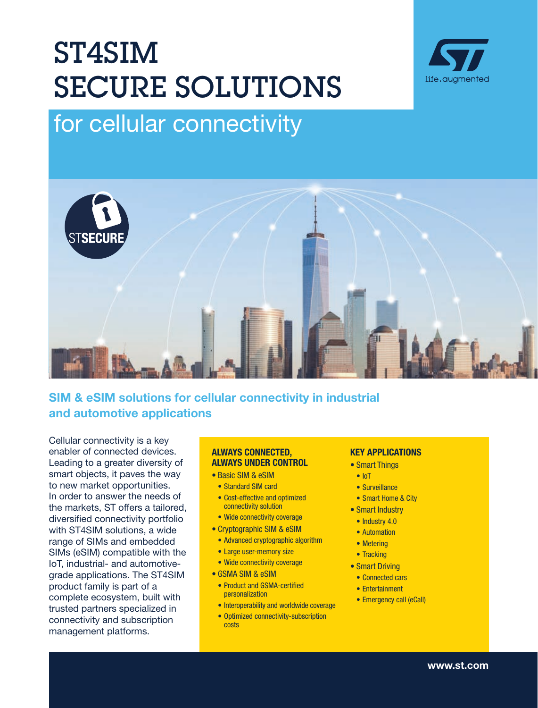# ST4SIM SECURE SOLUTIONS



## for cellular connectivity



### SIM & eSIM solutions for cellular connectivity in industrial and automotive applications

Cellular connectivity is a key enabler of connected devices. Leading to a greater diversity of smart objects, it paves the way to new market opportunities. In order to answer the needs of the markets, ST offers a tailored, diversified connectivity portfolio with ST4SIM solutions, a wide range of SIMs and embedded SIMs (eSIM) compatible with the IoT, industrial- and automotivegrade applications. The ST4SIM product family is part of a complete ecosystem, built with trusted partners specialized in connectivity and subscription management platforms.

#### ALWAYS CONNECTED, ALWAYS UNDER CONTROL

- Basic SIM & eSIM
- Standard SIM card
- Cost-effective and optimized connectivity solution
- Wide connectivity coverage
- Cryptographic SIM & eSIM
- Advanced cryptographic algorithm
- Large user-memory size
- Wide connectivity coverage
- GSMA SIM & eSIM
- Product and GSMA-certified personalization
- Interoperability and worldwide coverage
- Optimized connectivity-subscription costs

#### KEY APPLICATIONS

- Smart Things
	- IoT
	- Surveillance
	- Smart Home & City
- Smart Industry
- Industry 4.0
- Automation
- Metering
- Tracking
- Smart Driving
	- Connected cars
	- Entertainment
	- Emergency call (eCall)